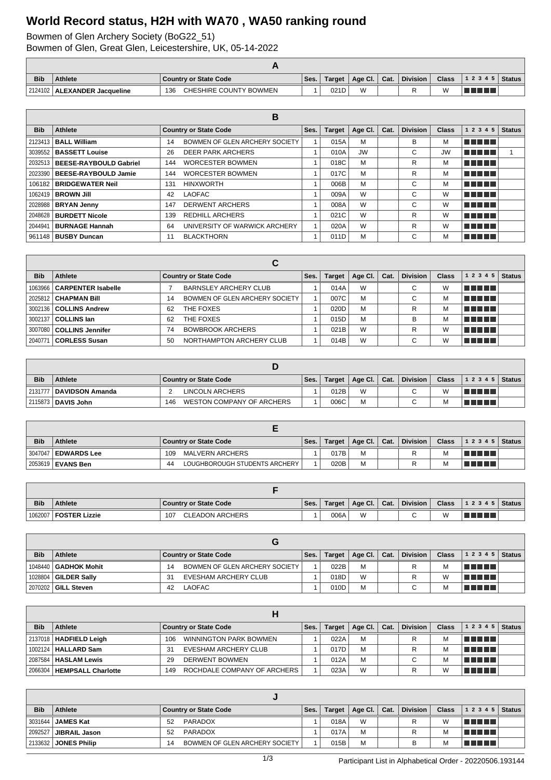## **World Record status, H2H with WA70 , WA50 ranking round**

Bowmen of Glen Archery Society (BoG22\_51)

Bowmen of Glen, Great Glen, Leicestershire, UK, 05-14-2022

| <b>Bib</b> | <b>Athlete</b>                 | Country or State Code         | Ses. | Target | Age Cl. $\vert$ | Cat. | <b>Division</b> | <b>Class</b> | $ 12345 $ Status |  |
|------------|--------------------------------|-------------------------------|------|--------|-----------------|------|-----------------|--------------|------------------|--|
|            | 2124102   ALEXANDER Jacqueline | CHESHIRE COUNTY BOWMEN<br>136 |      | 021D   | $\overline{M}$  |      |                 | W            | a populati       |  |

|            |                                  |                                      | в    |        |           |      |                 |              |            |               |
|------------|----------------------------------|--------------------------------------|------|--------|-----------|------|-----------------|--------------|------------|---------------|
| <b>Bib</b> | Athlete                          | <b>Country or State Code</b>         | Ses. | Target | Age Cl.   | Cat. | <b>Division</b> | <b>Class</b> | 1 2 3 4 5  | <b>Status</b> |
| 2123413    | <b>BALL William</b>              | BOWMEN OF GLEN ARCHERY SOCIETY<br>14 |      | 015A   | M         |      | В               | м            | TI FIFIT   |               |
|            | 3039552   BASSETT Louise         | <b>DEER PARK ARCHERS</b><br>26       |      | 010A   | <b>JW</b> |      | С               | <b>JW</b>    | T FI FI FI |               |
|            | 2032513   BEESE-RAYBOULD Gabriel | <b>WORCESTER BOWMEN</b><br>144       |      | 018C   | M         |      | R               | м            | T FI FI FI |               |
|            | 2023390   BEESE-RAYBOULD Jamie   | <b>WORCESTER BOWMEN</b><br>144       |      | 017C   | М         |      | R               | М            | T FI FI FI |               |
|            | 106182   BRIDGEWATER Neil        | <b>HINXWORTH</b><br>131              |      | 006B   | М         |      | C               | м            | T FI FI FI |               |
|            | 1062419   <b>BROWN Jill</b>      | <b>LAOFAC</b><br>42                  |      | 009A   | W         |      | C               | W            | T FIFIT F  |               |
|            | 2028988   BRYAN Jenny            | <b>DERWENT ARCHERS</b><br>147        |      | 008A   | W         |      | C               | W            | T FIFITI   |               |
|            | 2048628   BURDETT Nicole         | <b>REDHILL ARCHERS</b><br>139        |      | 021C   | W         |      | R               | W            | TI FIFIT   |               |
| 2044941    | BURNAGE Hannah                   | UNIVERSITY OF WARWICK ARCHERY<br>64  |      | 020A   | W         |      | R               | W            | TITI TITI  |               |
|            | 961148   <b>BUSBY Duncan</b>     | <b>BLACKTHORN</b><br>11              |      | 011D   | М         |      | С               | М            | T FI FI FI |               |

|            |                               |    | С                              |      |               |         |      |                 |              |                |               |
|------------|-------------------------------|----|--------------------------------|------|---------------|---------|------|-----------------|--------------|----------------|---------------|
| <b>Bib</b> | Athlete                       |    | <b>Country or State Code</b>   | Ses. | <b>Target</b> | Age Cl. | Cat. | <b>Division</b> | <b>Class</b> | 1 2 3 4 5      | <b>Status</b> |
|            | 1063966   CARPENTER Isabelle  |    | <b>BARNSLEY ARCHERY CLUB</b>   |      | 014A          | W       |      | $\sim$          | W            | T FIFTER       |               |
|            | 2025812 CHAPMAN Bill          | 14 | BOWMEN OF GLEN ARCHERY SOCIETY |      | 007C          | M       |      | С               | м            | TITI TITI      |               |
|            | 3002136 <b>COLLINS Andrew</b> | 62 | THE FOXES                      |      | 020D          | M       |      | R               | м            | l Titolin T    |               |
|            | 3002137   COLLINS Jan         | 62 | THE FOXES                      |      | 015D          | M       |      | B               | м            | THEFT          |               |
|            | ึ 3007080 I COLLINS Jennifer  | 74 | <b>BOWBROOK ARCHERS</b>        |      | 021B          | W       |      | R               | W            | T FIFTE T      |               |
| 2040771    | <b>CORLESS Susan</b>          | 50 | NORTHAMPTON ARCHERY CLUB       |      | 014B          | W       |      | C               | W            | <u> Tana a</u> |               |

| <b>Bib</b> | <b>Athlete</b>            | Country or State Code            | Ses. | Target | Age Cl.   Cat. | <b>Division</b> | <b>Class</b> | 12345       | <b>Status</b> |
|------------|---------------------------|----------------------------------|------|--------|----------------|-----------------|--------------|-------------|---------------|
|            | 2131777   DAVIDSON Amanda | LINCOLN ARCHERS                  |      | 012B   | W              | $\sim$<br>ື     | W            | T FI FI FI  |               |
|            | 2115873 DAVIS John        | WESTON COMPANY OF ARCHERS<br>146 |      | 006C   | M              | $\sim$          | M            | TI TI TI TI |               |

| <b>Bib</b> | <b>Athlete</b>        | <b>Country or State Code</b>        | Ses. | <b>Target</b> | Age Cl. | Cat. | <b>Division</b> | Class | $12345$ Status |  |
|------------|-----------------------|-------------------------------------|------|---------------|---------|------|-----------------|-------|----------------|--|
|            | 3047047   EDWARDS Lee | MALVERN ARCHERS<br>109              |      | 017B          | M       |      |                 | M     | T FIFIT T      |  |
|            | 2053619   EVANS Ben   | LOUGHBOROUGH STUDENTS ARCHERY<br>44 |      | 020B          | M       |      |                 | M     | TELET          |  |

| <b>Bib</b> | <b>Athlete</b>       | <b>Country or State Code</b> | Ses. | Target $\vert$ | Age Cl.   Cat. | Division | <b>Class</b> | $ 12345 $ Status |  |
|------------|----------------------|------------------------------|------|----------------|----------------|----------|--------------|------------------|--|
| 1062007    | <b>FOSTER Lizzie</b> | CLEADON ARCHERS<br>107       |      | 006A           | W              | $\sim$   |              | TI TITLET        |  |

| <b>Bib</b> | <b>Athlete</b>         |    | <b>Country or State Code</b>   | Ses. | Target | Age Cl.   Cat. | <b>Division</b> | <b>Class</b> | $ 12345 $ Status |  |
|------------|------------------------|----|--------------------------------|------|--------|----------------|-----------------|--------------|------------------|--|
|            | 1048440   GADHOK Mohit | 14 | BOWMEN OF GLEN ARCHERY SOCIETY |      | 022B   | M              | R               | М            | T FI FI FI       |  |
|            | 1028804   GILDER Sally | 31 | EVESHAM ARCHERY CLUB           |      | 018D   | W              | R               | W            | T FI FI FI       |  |
|            |                        | 42 | LAOFAC                         |      | 010D   | M              | $\sim$          |              | TI TITLE         |  |

| <b>Bib</b> | Athlete                       | <b>Country or State Code</b>       | Ses. | <b>Target</b> | Age Cl. | Cat. | <b>Division</b> | <b>Class</b> | 1 2 3 4 5      | <b>Status</b> |
|------------|-------------------------------|------------------------------------|------|---------------|---------|------|-----------------|--------------|----------------|---------------|
|            | 2137018   HADFIELD Leigh      | WINNINGTON PARK BOWMEN<br>106      |      | 022A          | M       |      |                 | M            | FI FI FI FI FI |               |
|            | 1002124   <b>HALLARD Sam</b>  | EVESHAM ARCHERY CLUB<br>31         |      | 017D          | M       |      |                 | М            | n din sa T     |               |
|            | 2087584   <b>HASLAM Lewis</b> | DERWENT BOWMEN<br>29               |      | 012A          | M       |      |                 | M            | n din bin      |               |
|            | 2066304   HEMPSALL Charlotte  | ROCHDALE COMPANY OF ARCHERS<br>149 |      | 023A          | W       |      |                 | W            | T FIFTI T      |               |

| <b>Bib</b> | <b>Athlete</b>             |    | <b>Country or State Code</b>   | Ses. | Target $\vert$ | Age Cl.   Cat. | Division | <b>Class</b> | $12345$ Status   |  |
|------------|----------------------------|----|--------------------------------|------|----------------|----------------|----------|--------------|------------------|--|
|            | 3031644   <b>JAMES Kat</b> | 52 | PARADOX                        |      | 018A           | W              | R        | W            | TI TITLE         |  |
|            | 2092527 JIBRAIL Jason      | 52 | PARADOX                        |      | 017A           | M              |          | M            | <b>FIFE FIFE</b> |  |
|            | 2133632 JONES Philip       | 14 | BOWMEN OF GLEN ARCHERY SOCIETY |      | 015B           | M              | в        | м            | T FIFTIT         |  |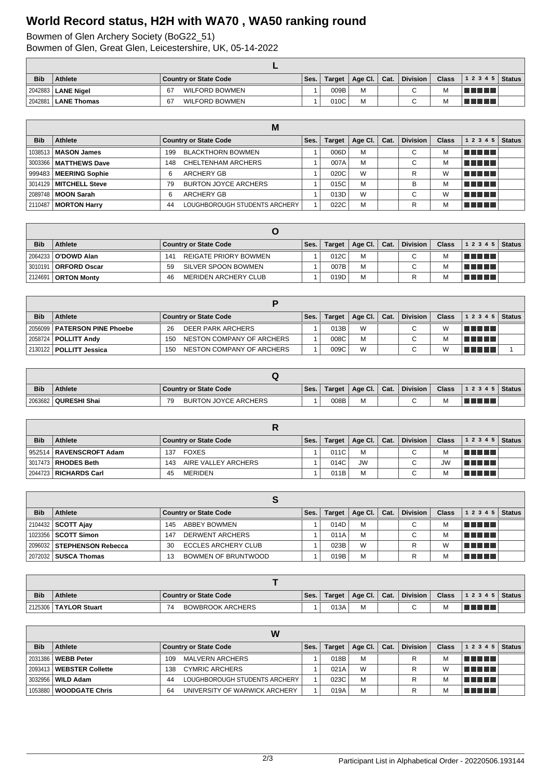## **World Record status, H2H with WA70 , WA50 ranking round**

Bowmen of Glen Archery Society (BoG22\_51)

Bowmen of Glen, Great Glen, Leicestershire, UK, 05-14-2022

| <b>Bib</b> | <b>Athlete</b>               | <b>Country or State Code</b> | Ses. | Target | Age Cl. $\vert$ | $\mathsf{Cat}$ . | <b>Division</b> | <b>Class</b> | $\frac{1}{2}$ 1 2 3 4 5 Status |  |
|------------|------------------------------|------------------------------|------|--------|-----------------|------------------|-----------------|--------------|--------------------------------|--|
|            | 2042883   LANE Nigel         | <b>WILFORD BOWMEN</b><br>67  |      | 009B   | M               |                  |                 | M            | TE E E E                       |  |
|            | 2042881 <b>  LANE Thomas</b> | <b>WILFORD BOWMEN</b><br>67  |      | 010C   | M               |                  |                 | M            | T FI FI FI                     |  |

|            |                          |     | M                             |      |        |         |      |                 |              |            |               |
|------------|--------------------------|-----|-------------------------------|------|--------|---------|------|-----------------|--------------|------------|---------------|
| <b>Bib</b> | Athlete                  |     | <b>Country or State Code</b>  | Ses. | Target | Age Cl. | Cat. | <b>Division</b> | <b>Class</b> | 1 2 3 4 5  | <b>Status</b> |
|            | 1038513   MASON James    | 199 | <b>BLACKTHORN BOWMEN</b>      |      | 006D   | M       |      | C               | M            | T FI FI FI |               |
|            | 3003366   MATTHEWS Dave  | 148 | CHELTENHAM ARCHERS            |      | 007A   | M       |      | С               | M            | TITI TITI  |               |
|            | 999483   MEERING Sophie  | 6   | <b>ARCHERY GB</b>             |      | 020C   | W       |      | R               | W            | T FIT FIT  |               |
|            | 3014129   MITCHELL Steve | 79  | <b>BURTON JOYCE ARCHERS</b>   |      | 015C   | M       |      | в               | M            | n din bir  |               |
|            | 2089748   MOON Sarah     | 6   | <b>ARCHERY GB</b>             |      | 013D   | W       |      | $\sim$          | W            | T F F F F  |               |
|            | 2110487   MORTON Harry   | 44  | LOUGHBOROUGH STUDENTS ARCHERY |      | 022C   | M       |      | R               | M            | TE DE L    |               |

| <b>Bib</b> | Athlete                      | <b>Country or State Code</b> | Ses. | <b>Target</b> | Age Cl. $\vert$ Cat. | Division | <b>Class</b> | 12345            | <b>Status</b> |
|------------|------------------------------|------------------------------|------|---------------|----------------------|----------|--------------|------------------|---------------|
|            | 2064233   <b>O'DOWD Alan</b> | REIGATE PRIORY BOWMEN<br>141 |      | 012C          | M                    | С        |              | l Titolin T      |               |
| 3010191    | ∣ I ORFORD Oscar             | SILVER SPOON BOWMEN<br>59    |      | 007B          | M                    | С        |              | <b>FIFE FIFE</b> |               |
|            | 2124691   ORTON Monty        | MERIDEN ARCHERY CLUB<br>46   |      | 019D          | M                    | R        |              | TI FIFIT         |               |

| <b>Bib</b> | Athlete                        | <b>Country or State Code</b>     | Ses. | Target | Age Cl. | Cat. | <b>Division</b> | <b>Class</b> | 1 2 3 4 5   Status                  |  |  |
|------------|--------------------------------|----------------------------------|------|--------|---------|------|-----------------|--------------|-------------------------------------|--|--|
|            | 2056099   PATERSON PINE Phoebe | DEER PARK ARCHERS<br>-26         |      | 013B   | W       |      | C.              | W            | T FI FI FI                          |  |  |
|            | 2058724   POLLITT Andy         | NESTON COMPANY OF ARCHERS<br>150 |      | 008C   | M       |      | C.              | М            | FI FI FI FI FI                      |  |  |
|            | 2130122   POLLITT Jessica      | NESTON COMPANY OF ARCHERS<br>150 |      | 009C   | W       |      | ⌒               | W            | a kacamatan ing Kabupatén Kabupatén |  |  |

| <b>Bib</b> | <b>Athlete</b>         | Country or State Code             | Ses. | Target, | Age Cl.   Cat. |  | <b>Division</b> | <b>Class</b> | $ 12345 $ Status |  |
|------------|------------------------|-----------------------------------|------|---------|----------------|--|-----------------|--------------|------------------|--|
|            | 2063682   QURESHI Shai | <b>BURTON JOYCE ARCHERS</b><br>70 |      | 008B    | M              |  | $\sim$          | M            |                  |  |

| <b>Bib</b> | Athlete                        | <b>Country or State Code</b> | Ses. | Target | Age Cl. $\vert$ Cat. |  | <b>Division</b> | <b>Class</b> | $12345$ Status |  |  |
|------------|--------------------------------|------------------------------|------|--------|----------------------|--|-----------------|--------------|----------------|--|--|
|            | 952514   RAVENSCROFT Adam      | FOXES<br>137                 |      | 011C   | M                    |  | ◠               | М            | TELELL         |  |  |
|            | 3017473 RHODES Beth            | AIRE VALLEY ARCHERS<br>143   |      | 014C   | <b>JW</b>            |  | ⌒               | <b>JW</b>    | TELELL         |  |  |
|            | 2044723 <b>  RICHARDS Carl</b> | <b>MERIDEN</b><br>45         |      | 011B   | M                    |  | C.              |              | TELELL         |  |  |

| <b>Bib</b> | <b>Athlete</b>               | <b>Country or State Code</b><br>Ses. |  |      | Target   Age Cl.   Cat. |  | Division | <b>Class</b> | 1 2 3 4 5   | <b>Status</b> |  |
|------------|------------------------------|--------------------------------------|--|------|-------------------------|--|----------|--------------|-------------|---------------|--|
|            | 2104432   <b>SCOTT Ajay</b>  | <b>ABBEY BOWMEN</b><br>145           |  | 014D | м                       |  | С        |              | l manara    |               |  |
|            | 1023356   SCOTT Simon        | <b>DERWENT ARCHERS</b><br>147        |  | 011A | M                       |  | С        |              | le e e e e  |               |  |
|            | 2096032   STEPHENSON Rebecca | ECCLES ARCHERY CLUB<br>30            |  | 023B | W                       |  | R        |              | l Titolin T |               |  |
|            | 2072032   SUSCA Thomas       | BOWMEN OF BRUNTWOOD                  |  | 019B | M                       |  | R        |              | T FI FI FI  |               |  |

| <b>Bib</b> | <b>Athlete</b>          | l Country or State Code |  | Target | Age Cl. | $\vert$ Cat. | <b>Division</b> | <b>Class</b> | 1 2 3 4 5   Status |  |
|------------|-------------------------|-------------------------|--|--------|---------|--------------|-----------------|--------------|--------------------|--|
|            | 2125306   TAYLOR Stuart | <b>BOWBROOK ARCHERS</b> |  | 013A   |         |              | $\sim$          | м            | T FIFT             |  |

| W          |                            |                                     |      |               |                 |      |          |              |                        |               |  |
|------------|----------------------------|-------------------------------------|------|---------------|-----------------|------|----------|--------------|------------------------|---------------|--|
| <b>Bib</b> | Athlete                    | <b>Country or State Code</b>        | Ses. | <b>Target</b> | Age Cl. $\vert$ | Cat. | Division | <b>Class</b> | 12345                  | <b>Status</b> |  |
|            | 2031386   WEBB Peter       | MALVERN ARCHERS<br>109              |      | 018B          | M               |      |          |              | <u>Film and the se</u> |               |  |
|            | 2093413   WEBSTER Collette | <b>CYMRIC ARCHERS</b><br>138        |      | 021A          | W               |      |          | W            | T FIFIT FI             |               |  |
|            | 3032956   WILD Adam        | LOUGHBOROUGH STUDENTS ARCHERY<br>44 |      | 023C          | M               |      |          | M            | F F F F F              |               |  |
|            | 1053880   WOODGATE Chris   | UNIVERSITY OF WARWICK ARCHERY<br>64 |      | 019A          | M               |      |          | M            | TE ELET                |               |  |